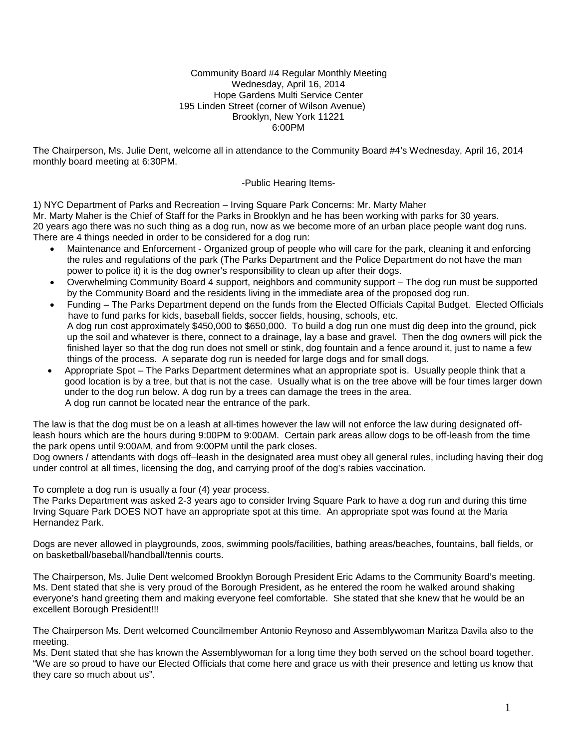### Community Board #4 Regular Monthly Meeting Wednesday, April 16, 2014 Hope Gardens Multi Service Center 195 Linden Street (corner of Wilson Avenue) Brooklyn, New York 11221 6:00PM

The Chairperson, Ms. Julie Dent, welcome all in attendance to the Community Board #4's Wednesday, April 16, 2014 monthly board meeting at 6:30PM.

### -Public Hearing Items-

1) NYC Department of Parks and Recreation – Irving Square Park Concerns: Mr. Marty Maher Mr. Marty Maher is the Chief of Staff for the Parks in Brooklyn and he has been working with parks for 30 years. 20 years ago there was no such thing as a dog run, now as we become more of an urban place people want dog runs. There are 4 things needed in order to be considered for a dog run:

- Maintenance and Enforcement Organized group of people who will care for the park, cleaning it and enforcing the rules and regulations of the park (The Parks Department and the Police Department do not have the man power to police it) it is the dog owner's responsibility to clean up after their dogs.
- Overwhelming Community Board 4 support, neighbors and community support The dog run must be supported by the Community Board and the residents living in the immediate area of the proposed dog run.
- Funding The Parks Department depend on the funds from the Elected Officials Capital Budget. Elected Officials have to fund parks for kids, baseball fields, soccer fields, housing, schools, etc. A dog run cost approximately \$450,000 to \$650,000. To build a dog run one must dig deep into the ground, pick up the soil and whatever is there, connect to a drainage, lay a base and gravel. Then the dog owners will pick the finished layer so that the dog run does not smell or stink, dog fountain and a fence around it, just to name a few things of the process. A separate dog run is needed for large dogs and for small dogs.
- Appropriate Spot The Parks Department determines what an appropriate spot is. Usually people think that a good location is by a tree, but that is not the case. Usually what is on the tree above will be four times larger down under to the dog run below. A dog run by a trees can damage the trees in the area. A dog run cannot be located near the entrance of the park.

The law is that the dog must be on a leash at all-times however the law will not enforce the law during designated offleash hours which are the hours during 9:00PM to 9:00AM. Certain park areas allow dogs to be off-leash from the time the park opens until 9:00AM, and from 9:00PM until the park closes.

Dog owners / attendants with dogs off–leash in the designated area must obey all general rules, including having their dog under control at all times, licensing the dog, and carrying proof of the dog's rabies vaccination.

To complete a dog run is usually a four (4) year process.

The Parks Department was asked 2-3 years ago to consider Irving Square Park to have a dog run and during this time Irving Square Park DOES NOT have an appropriate spot at this time. An appropriate spot was found at the Maria Hernandez Park.

Dogs are never allowed in playgrounds, zoos, swimming pools/facilities, bathing areas/beaches, fountains, ball fields, or on basketball/baseball/handball/tennis courts.

The Chairperson, Ms. Julie Dent welcomed Brooklyn Borough President Eric Adams to the Community Board's meeting. Ms. Dent stated that she is very proud of the Borough President, as he entered the room he walked around shaking everyone's hand greeting them and making everyone feel comfortable. She stated that she knew that he would be an excellent Borough President!!!

The Chairperson Ms. Dent welcomed Councilmember Antonio Reynoso and Assemblywoman Maritza Davila also to the meeting.

Ms. Dent stated that she has known the Assemblywoman for a long time they both served on the school board together. "We are so proud to have our Elected Officials that come here and grace us with their presence and letting us know that they care so much about us".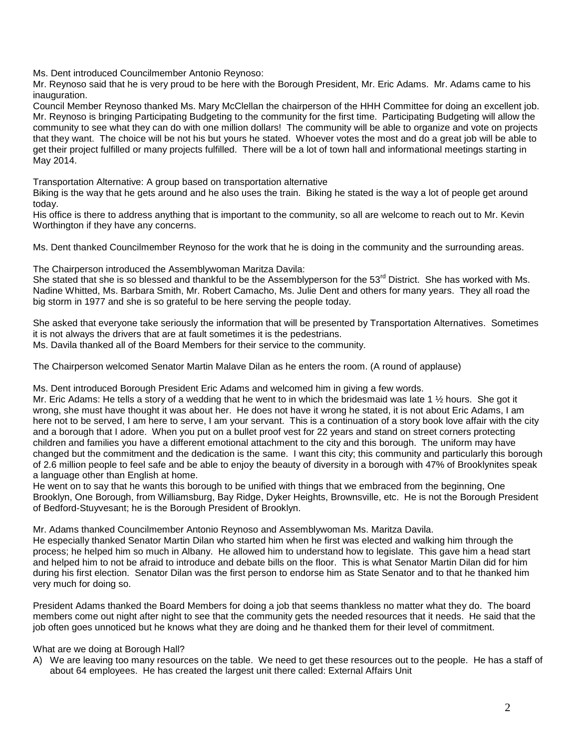Ms. Dent introduced Councilmember Antonio Reynoso:

Mr. Reynoso said that he is very proud to be here with the Borough President, Mr. Eric Adams. Mr. Adams came to his inauguration.

Council Member Reynoso thanked Ms. Mary McClellan the chairperson of the HHH Committee for doing an excellent job. Mr. Reynoso is bringing Participating Budgeting to the community for the first time. Participating Budgeting will allow the community to see what they can do with one million dollars! The community will be able to organize and vote on projects that they want. The choice will be not his but yours he stated. Whoever votes the most and do a great job will be able to get their project fulfilled or many projects fulfilled. There will be a lot of town hall and informational meetings starting in May 2014.

Transportation Alternative: A group based on transportation alternative

Biking is the way that he gets around and he also uses the train. Biking he stated is the way a lot of people get around today.

His office is there to address anything that is important to the community, so all are welcome to reach out to Mr. Kevin Worthington if they have any concerns.

Ms. Dent thanked Councilmember Reynoso for the work that he is doing in the community and the surrounding areas.

The Chairperson introduced the Assemblywoman Maritza Davila:

She stated that she is so blessed and thankful to be the Assemblyperson for the 53<sup>rd</sup> District. She has worked with Ms. Nadine Whitted, Ms. Barbara Smith, Mr. Robert Camacho, Ms. Julie Dent and others for many years. They all road the big storm in 1977 and she is so grateful to be here serving the people today.

She asked that everyone take seriously the information that will be presented by Transportation Alternatives. Sometimes it is not always the drivers that are at fault sometimes it is the pedestrians. Ms. Davila thanked all of the Board Members for their service to the community.

The Chairperson welcomed Senator Martin Malave Dilan as he enters the room. (A round of applause)

Ms. Dent introduced Borough President Eric Adams and welcomed him in giving a few words.

Mr. Eric Adams: He tells a story of a wedding that he went to in which the bridesmaid was late 1 ½ hours. She got it wrong, she must have thought it was about her. He does not have it wrong he stated, it is not about Eric Adams, I am here not to be served, I am here to serve, I am your servant. This is a continuation of a story book love affair with the city and a borough that I adore. When you put on a bullet proof vest for 22 years and stand on street corners protecting children and families you have a different emotional attachment to the city and this borough. The uniform may have changed but the commitment and the dedication is the same. I want this city; this community and particularly this borough of 2.6 million people to feel safe and be able to enjoy the beauty of diversity in a borough with 47% of Brooklynites speak a language other than English at home.

He went on to say that he wants this borough to be unified with things that we embraced from the beginning, One Brooklyn, One Borough, from Williamsburg, Bay Ridge, Dyker Heights, Brownsville, etc. He is not the Borough President of Bedford-Stuyvesant; he is the Borough President of Brooklyn.

Mr. Adams thanked Councilmember Antonio Reynoso and Assemblywoman Ms. Maritza Davila.

He especially thanked Senator Martin Dilan who started him when he first was elected and walking him through the process; he helped him so much in Albany. He allowed him to understand how to legislate. This gave him a head start and helped him to not be afraid to introduce and debate bills on the floor. This is what Senator Martin Dilan did for him during his first election. Senator Dilan was the first person to endorse him as State Senator and to that he thanked him very much for doing so.

President Adams thanked the Board Members for doing a job that seems thankless no matter what they do. The board members come out night after night to see that the community gets the needed resources that it needs. He said that the job often goes unnoticed but he knows what they are doing and he thanked them for their level of commitment.

What are we doing at Borough Hall?

A) We are leaving too many resources on the table. We need to get these resources out to the people. He has a staff of about 64 employees. He has created the largest unit there called: External Affairs Unit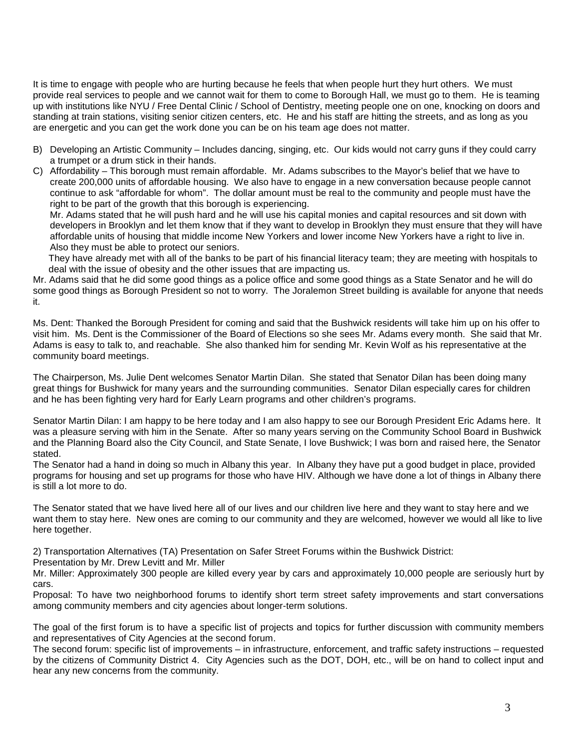It is time to engage with people who are hurting because he feels that when people hurt they hurt others. We must provide real services to people and we cannot wait for them to come to Borough Hall, we must go to them. He is teaming up with institutions like NYU / Free Dental Clinic / School of Dentistry, meeting people one on one, knocking on doors and standing at train stations, visiting senior citizen centers, etc. He and his staff are hitting the streets, and as long as you are energetic and you can get the work done you can be on his team age does not matter.

B) Developing an Artistic Community – Includes dancing, singing, etc. Our kids would not carry guns if they could carry a trumpet or a drum stick in their hands.

C) Affordability – This borough must remain affordable. Mr. Adams subscribes to the Mayor's belief that we have to create 200,000 units of affordable housing. We also have to engage in a new conversation because people cannot continue to ask "affordable for whom". The dollar amount must be real to the community and people must have the right to be part of the growth that this borough is experiencing.

Mr. Adams stated that he will push hard and he will use his capital monies and capital resources and sit down with developers in Brooklyn and let them know that if they want to develop in Brooklyn they must ensure that they will have affordable units of housing that middle income New Yorkers and lower income New Yorkers have a right to live in. Also they must be able to protect our seniors.

 They have already met with all of the banks to be part of his financial literacy team; they are meeting with hospitals to deal with the issue of obesity and the other issues that are impacting us.

Mr. Adams said that he did some good things as a police office and some good things as a State Senator and he will do some good things as Borough President so not to worry. The Joralemon Street building is available for anyone that needs it.

Ms. Dent: Thanked the Borough President for coming and said that the Bushwick residents will take him up on his offer to visit him. Ms. Dent is the Commissioner of the Board of Elections so she sees Mr. Adams every month. She said that Mr. Adams is easy to talk to, and reachable. She also thanked him for sending Mr. Kevin Wolf as his representative at the community board meetings.

The Chairperson, Ms. Julie Dent welcomes Senator Martin Dilan. She stated that Senator Dilan has been doing many great things for Bushwick for many years and the surrounding communities. Senator Dilan especially cares for children and he has been fighting very hard for Early Learn programs and other children's programs.

Senator Martin Dilan: I am happy to be here today and I am also happy to see our Borough President Eric Adams here. It was a pleasure serving with him in the Senate. After so many years serving on the Community School Board in Bushwick and the Planning Board also the City Council, and State Senate, I love Bushwick; I was born and raised here, the Senator stated.

The Senator had a hand in doing so much in Albany this year. In Albany they have put a good budget in place, provided programs for housing and set up programs for those who have HIV. Although we have done a lot of things in Albany there is still a lot more to do.

The Senator stated that we have lived here all of our lives and our children live here and they want to stay here and we want them to stay here. New ones are coming to our community and they are welcomed, however we would all like to live here together.

2) Transportation Alternatives (TA) Presentation on Safer Street Forums within the Bushwick District:

Presentation by Mr. Drew Levitt and Mr. Miller

Mr. Miller: Approximately 300 people are killed every year by cars and approximately 10,000 people are seriously hurt by cars.

Proposal: To have two neighborhood forums to identify short term street safety improvements and start conversations among community members and city agencies about longer-term solutions.

The goal of the first forum is to have a specific list of projects and topics for further discussion with community members and representatives of City Agencies at the second forum.

The second forum: specific list of improvements – in infrastructure, enforcement, and traffic safety instructions – requested by the citizens of Community District 4. City Agencies such as the DOT, DOH, etc., will be on hand to collect input and hear any new concerns from the community.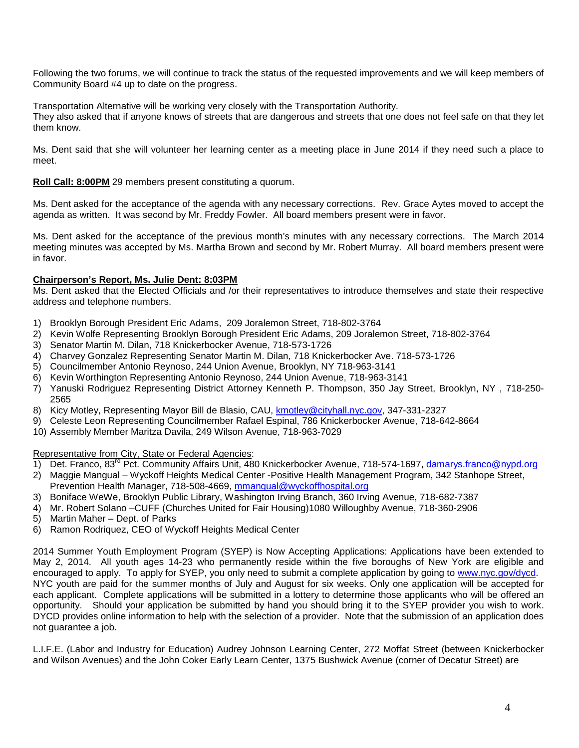Following the two forums, we will continue to track the status of the requested improvements and we will keep members of Community Board #4 up to date on the progress.

Transportation Alternative will be working very closely with the Transportation Authority.

They also asked that if anyone knows of streets that are dangerous and streets that one does not feel safe on that they let them know.

Ms. Dent said that she will volunteer her learning center as a meeting place in June 2014 if they need such a place to meet.

**Roll Call: 8:00PM** 29 members present constituting a quorum.

Ms. Dent asked for the acceptance of the agenda with any necessary corrections. Rev. Grace Aytes moved to accept the agenda as written. It was second by Mr. Freddy Fowler. All board members present were in favor.

Ms. Dent asked for the acceptance of the previous month's minutes with any necessary corrections. The March 2014 meeting minutes was accepted by Ms. Martha Brown and second by Mr. Robert Murray. All board members present were in favor.

# **Chairperson's Report, Ms. Julie Dent: 8:03PM**

Ms. Dent asked that the Elected Officials and /or their representatives to introduce themselves and state their respective address and telephone numbers.

- 1) Brooklyn Borough President Eric Adams, 209 Joralemon Street, 718-802-3764
- 2) Kevin Wolfe Representing Brooklyn Borough President Eric Adams, 209 Joralemon Street, 718-802-3764
- 3) Senator Martin M. Dilan, 718 Knickerbocker Avenue, 718-573-1726
- 4) Charvey Gonzalez Representing Senator Martin M. Dilan, 718 Knickerbocker Ave. 718-573-1726
- 5) Councilmember Antonio Reynoso, 244 Union Avenue, Brooklyn, NY 718-963-3141
- 6) Kevin Worthington Representing Antonio Reynoso, 244 Union Avenue, 718-963-3141
- 7) Yanuski Rodriguez Representing District Attorney Kenneth P. Thompson, 350 Jay Street, Brooklyn, NY , 718-250- 2565
- 8) Kicy Motley, Representing Mayor Bill de Blasio, CAU, **kmotley@cityhall.nyc.gov**, 347-331-2327
- 9) Celeste Leon Representing Councilmember Rafael Espinal, 786 Knickerbocker Avenue, 718-642-8664
- 10) Assembly Member Maritza Davila, 249 Wilson Avenue, 718-963-7029

Representative from City, State or Federal Agencies:

- 1) Det. Franco, 83<sup>rd</sup> Pct. Community Affairs Unit, 480 Knickerbocker Avenue, 718-574-1697, [damarys.franco@nypd.org](mailto:damarys.franco@nypd.org)
- 2) Maggie Mangual Wyckoff Heights Medical Center -Positive Health Management Program, 342 Stanhope Street, Prevention Health Manager, 718-508-4669, [mmangual@wyckoffhospital.org](mailto:mmangual@wyckoffhospital.org)
- 3) Boniface WeWe, Brooklyn Public Library, Washington Irving Branch, 360 Irving Avenue, 718-682-7387
- 4) Mr. Robert Solano –CUFF (Churches United for Fair Housing)1080 Willoughby Avenue, 718-360-2906
- 5) Martin Maher Dept. of Parks
- 6) Ramon Rodriquez, CEO of Wyckoff Heights Medical Center

2014 Summer Youth Employment Program (SYEP) is Now Accepting Applications: Applications have been extended to May 2, 2014. All youth ages 14-23 who permanently reside within the five boroughs of New York are eligible and encouraged to apply. To apply for SYEP, you only need to submit a complete application by going to [www.nyc.gov/dycd.](http://www.nyc.gov/dycd) NYC youth are paid for the summer months of July and August for six weeks. Only one application will be accepted for each applicant. Complete applications will be submitted in a lottery to determine those applicants who will be offered an opportunity. Should your application be submitted by hand you should bring it to the SYEP provider you wish to work. DYCD provides online information to help with the selection of a provider. Note that the submission of an application does not guarantee a job.

L.I.F.E. (Labor and Industry for Education) Audrey Johnson Learning Center, 272 Moffat Street (between Knickerbocker and Wilson Avenues) and the John Coker Early Learn Center, 1375 Bushwick Avenue (corner of Decatur Street) are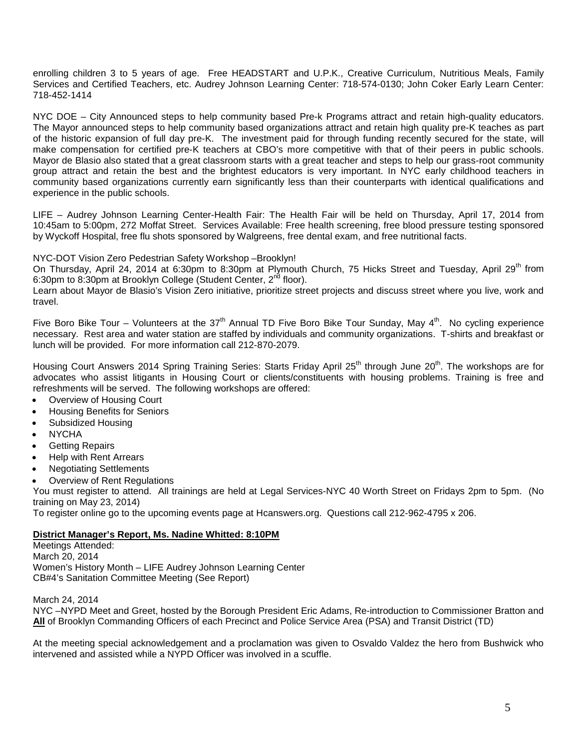enrolling children 3 to 5 years of age. Free HEADSTART and U.P.K., Creative Curriculum, Nutritious Meals, Family Services and Certified Teachers, etc. Audrey Johnson Learning Center: 718-574-0130; John Coker Early Learn Center: 718-452-1414

NYC DOE – City Announced steps to help community based Pre-k Programs attract and retain high-quality educators. The Mayor announced steps to help community based organizations attract and retain high quality pre-K teaches as part of the historic expansion of full day pre-K. The investment paid for through funding recently secured for the state, will make compensation for certified pre-K teachers at CBO's more competitive with that of their peers in public schools. Mayor de Blasio also stated that a great classroom starts with a great teacher and steps to help our grass-root community group attract and retain the best and the brightest educators is very important. In NYC early childhood teachers in community based organizations currently earn significantly less than their counterparts with identical qualifications and experience in the public schools.

LIFE – Audrey Johnson Learning Center-Health Fair: The Health Fair will be held on Thursday, April 17, 2014 from 10:45am to 5:00pm, 272 Moffat Street. Services Available: Free health screening, free blood pressure testing sponsored by Wyckoff Hospital, free flu shots sponsored by Walgreens, free dental exam, and free nutritional facts.

# NYC-DOT Vision Zero Pedestrian Safety Workshop –Brooklyn!

On Thursday, April 24, 2014 at 6:30pm to 8:30pm at Plymouth Church, 75 Hicks Street and Tuesday, April 29<sup>th</sup> from 6:30pm to 8:30pm at Brooklyn College (Student Center, 2<sup>nd</sup> floor).

Learn about Mayor de Blasio's Vision Zero initiative, prioritize street projects and discuss street where you live, work and travel.

Five Boro Bike Tour – Volunteers at the 37<sup>th</sup> Annual TD Five Boro Bike Tour Sunday, May 4<sup>th</sup>. No cycling experience necessary. Rest area and water station are staffed by individuals and community organizations. T-shirts and breakfast or lunch will be provided. For more information call 212-870-2079.

Housing Court Answers 2014 Spring Training Series: Starts Friday April 25<sup>th</sup> through June 20<sup>th</sup>. The workshops are for advocates who assist litigants in Housing Court or clients/constituents with housing problems. Training is free and refreshments will be served. The following workshops are offered:

- Overview of Housing Court
- Housing Benefits for Seniors
- Subsidized Housing
- NYCHA
- **Getting Repairs**
- Help with Rent Arrears
- Negotiating Settlements
- Overview of Rent Regulations

You must register to attend. All trainings are held at Legal Services-NYC 40 Worth Street on Fridays 2pm to 5pm. (No training on May 23, 2014)

To register online go to the upcoming events page at Hcanswers.org. Questions call 212-962-4795 x 206.

### **District Manager's Report, Ms. Nadine Whitted: 8:10PM**

Meetings Attended: March 20, 2014 Women's History Month – LIFE Audrey Johnson Learning Center CB#4's Sanitation Committee Meeting (See Report)

March 24, 2014

NYC –NYPD Meet and Greet, hosted by the Borough President Eric Adams, Re-introduction to Commissioner Bratton and **All** of Brooklyn Commanding Officers of each Precinct and Police Service Area (PSA) and Transit District (TD)

At the meeting special acknowledgement and a proclamation was given to Osvaldo Valdez the hero from Bushwick who intervened and assisted while a NYPD Officer was involved in a scuffle.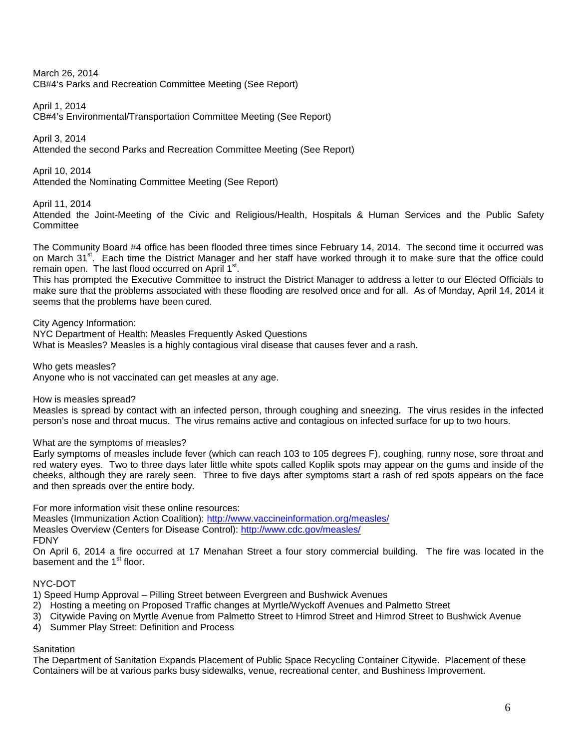March 26, 2014 CB#4's Parks and Recreation Committee Meeting (See Report)

April 1, 2014 CB#4's Environmental/Transportation Committee Meeting (See Report)

April 3, 2014 Attended the second Parks and Recreation Committee Meeting (See Report)

April 10, 2014 Attended the Nominating Committee Meeting (See Report)

April 11, 2014

Attended the Joint-Meeting of the Civic and Religious/Health, Hospitals & Human Services and the Public Safety **Committee** 

The Community Board #4 office has been flooded three times since February 14, 2014. The second time it occurred was on March 31<sup>st</sup>. Each time the District Manager and her staff have worked through it to make sure that the office could remain open. The last flood occurred on April 1<sup>st</sup>.

This has prompted the Executive Committee to instruct the District Manager to address a letter to our Elected Officials to make sure that the problems associated with these flooding are resolved once and for all. As of Monday, April 14, 2014 it seems that the problems have been cured.

City Agency Information:

NYC Department of Health: Measles Frequently Asked Questions

What is Measles? Measles is a highly contagious viral disease that causes fever and a rash.

Who gets measles? Anyone who is not vaccinated can get measles at any age.

How is measles spread?

Measles is spread by contact with an infected person, through coughing and sneezing. The virus resides in the infected person's nose and throat mucus. The virus remains active and contagious on infected surface for up to two hours.

What are the symptoms of measles?

Early symptoms of measles include fever (which can reach 103 to 105 degrees F), coughing, runny nose, sore throat and red watery eyes. Two to three days later little white spots called Koplik spots may appear on the gums and inside of the cheeks, although they are rarely seen. Three to five days after symptoms start a rash of red spots appears on the face and then spreads over the entire body.

For more information visit these online resources:

Measles (Immunization Action Coalition):<http://www.vaccineinformation.org/measles/>

Measles Overview (Centers for Disease Control):<http://www.cdc.gov/measles/>

FDNY

On April 6, 2014 a fire occurred at 17 Menahan Street a four story commercial building. The fire was located in the basement and the 1<sup>st</sup> floor.

# NYC-DOT

1) Speed Hump Approval – Pilling Street between Evergreen and Bushwick Avenues

- 2) Hosting a meeting on Proposed Traffic changes at Myrtle/Wyckoff Avenues and Palmetto Street
- 3) Citywide Paving on Myrtle Avenue from Palmetto Street to Himrod Street and Himrod Street to Bushwick Avenue
- 4) Summer Play Street: Definition and Process

# **Sanitation**

The Department of Sanitation Expands Placement of Public Space Recycling Container Citywide. Placement of these Containers will be at various parks busy sidewalks, venue, recreational center, and Bushiness Improvement.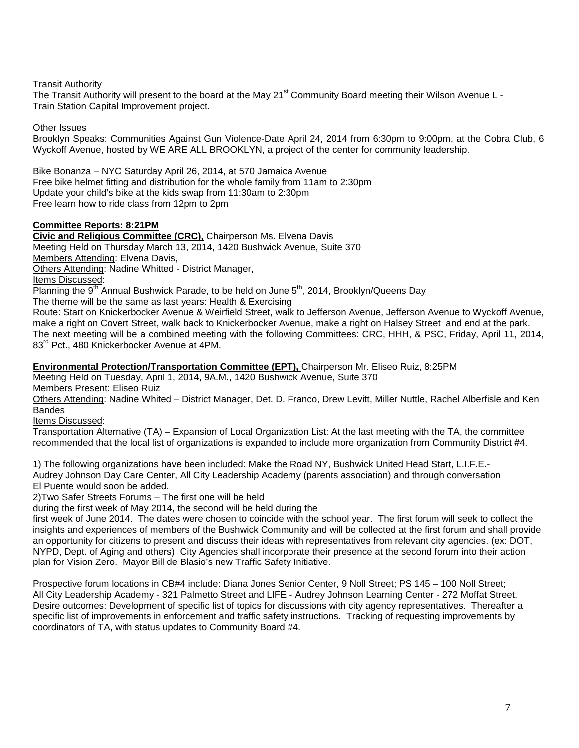Transit Authority

The Transit Authority will present to the board at the May 21<sup>st</sup> Community Board meeting their Wilson Avenue L -Train Station Capital Improvement project.

Other Issues

Brooklyn Speaks: Communities Against Gun Violence-Date April 24, 2014 from 6:30pm to 9:00pm, at the Cobra Club, 6 Wyckoff Avenue, hosted by WE ARE ALL BROOKLYN, a project of the center for community leadership.

Bike Bonanza – NYC Saturday April 26, 2014, at 570 Jamaica Avenue Free bike helmet fitting and distribution for the whole family from 11am to 2:30pm Update your child's bike at the kids swap from 11:30am to 2:30pm Free learn how to ride class from 12pm to 2pm

# **Committee Reports: 8:21PM**

**Civic and Religious Committee (CRC),** Chairperson Ms. Elvena Davis Meeting Held on Thursday March 13, 2014, 1420 Bushwick Avenue, Suite 370

Members Attending: Elvena Davis,

Others Attending: Nadine Whitted - District Manager,

Items Discussed:

Planning the  $9<sup>th</sup>$  Annual Bushwick Parade, to be held on June  $5<sup>th</sup>$ , 2014, Brooklyn/Queens Day

The theme will be the same as last years: Health & Exercising

Route: Start on Knickerbocker Avenue & Weirfield Street, walk to Jefferson Avenue, Jefferson Avenue to Wyckoff Avenue, make a right on Covert Street, walk back to Knickerbocker Avenue, make a right on Halsey Street and end at the park. The next meeting will be a combined meeting with the following Committees: CRC, HHH, & PSC, Friday, April 11, 2014, 83<sup>rd</sup> Pct., 480 Knickerbocker Avenue at 4PM.

### **Environmental Protection/Transportation Committee (EPT),** Chairperson Mr. Eliseo Ruiz, 8:25PM

Meeting Held on Tuesday, April 1, 2014, 9A.M., 1420 Bushwick Avenue, Suite 370

Members Present: Eliseo Ruiz

Others Attending: Nadine Whited – District Manager, Det. D. Franco, Drew Levitt, Miller Nuttle, Rachel Alberfisle and Ken Bandes

Items Discussed:

Transportation Alternative (TA) – Expansion of Local Organization List: At the last meeting with the TA, the committee recommended that the local list of organizations is expanded to include more organization from Community District #4.

1) The following organizations have been included: Make the Road NY, Bushwick United Head Start, L.I.F.E.- Audrey Johnson Day Care Center, All City Leadership Academy (parents association) and through conversation El Puente would soon be added.

2)Two Safer Streets Forums – The first one will be held

during the first week of May 2014, the second will be held during the

first week of June 2014. The dates were chosen to coincide with the school year. The first forum will seek to collect the insights and experiences of members of the Bushwick Community and will be collected at the first forum and shall provide an opportunity for citizens to present and discuss their ideas with representatives from relevant city agencies. (ex: DOT, NYPD, Dept. of Aging and others) City Agencies shall incorporate their presence at the second forum into their action plan for Vision Zero. Mayor Bill de Blasio's new Traffic Safety Initiative.

Prospective forum locations in CB#4 include: Diana Jones Senior Center, 9 Noll Street; PS 145 – 100 Noll Street; All City Leadership Academy - 321 Palmetto Street and LIFE - Audrey Johnson Learning Center - 272 Moffat Street. Desire outcomes: Development of specific list of topics for discussions with city agency representatives. Thereafter a specific list of improvements in enforcement and traffic safety instructions. Tracking of requesting improvements by coordinators of TA, with status updates to Community Board #4.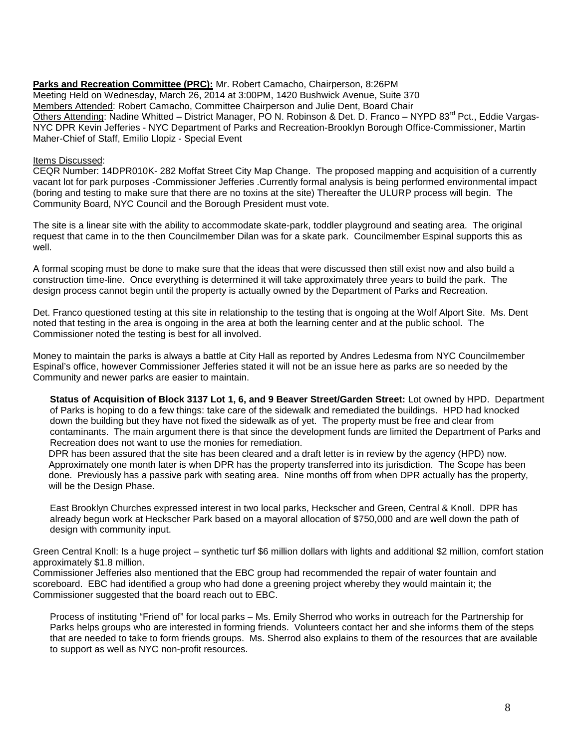**Parks and Recreation Committee (PRC):** Mr. Robert Camacho, Chairperson, 8:26PM Meeting Held on Wednesday, March 26, 2014 at 3:00PM, 1420 Bushwick Avenue, Suite 370 Members Attended: Robert Camacho, Committee Chairperson and Julie Dent, Board Chair Others Attending: Nadine Whitted – District Manager, PO N. Robinson & Det. D. Franco – NYPD 83<sup>rd</sup> Pct., Eddie Vargas-NYC DPR Kevin Jefferies - NYC Department of Parks and Recreation-Brooklyn Borough Office-Commissioner, Martin Maher-Chief of Staff, Emilio Llopiz - Special Event

#### Items Discussed:

CEQR Number: 14DPR010K- 282 Moffat Street City Map Change. The proposed mapping and acquisition of a currently vacant lot for park purposes -Commissioner Jefferies .Currently formal analysis is being performed environmental impact (boring and testing to make sure that there are no toxins at the site) Thereafter the ULURP process will begin. The Community Board, NYC Council and the Borough President must vote.

The site is a linear site with the ability to accommodate skate-park, toddler playground and seating area. The original request that came in to the then Councilmember Dilan was for a skate park. Councilmember Espinal supports this as well.

A formal scoping must be done to make sure that the ideas that were discussed then still exist now and also build a construction time-line. Once everything is determined it will take approximately three years to build the park. The design process cannot begin until the property is actually owned by the Department of Parks and Recreation.

Det. Franco questioned testing at this site in relationship to the testing that is ongoing at the Wolf Alport Site. Ms. Dent noted that testing in the area is ongoing in the area at both the learning center and at the public school. The Commissioner noted the testing is best for all involved.

Money to maintain the parks is always a battle at City Hall as reported by Andres Ledesma from NYC Councilmember Espinal's office, however Commissioner Jefferies stated it will not be an issue here as parks are so needed by the Community and newer parks are easier to maintain.

**Status of Acquisition of Block 3137 Lot 1, 6, and 9 Beaver Street/Garden Street:** Lot owned by HPD. Department of Parks is hoping to do a few things: take care of the sidewalk and remediated the buildings. HPD had knocked down the building but they have not fixed the sidewalk as of yet. The property must be free and clear from contaminants. The main argument there is that since the development funds are limited the Department of Parks and Recreation does not want to use the monies for remediation.

 DPR has been assured that the site has been cleared and a draft letter is in review by the agency (HPD) now. Approximately one month later is when DPR has the property transferred into its jurisdiction. The Scope has been done. Previously has a passive park with seating area. Nine months off from when DPR actually has the property, will be the Design Phase.

East Brooklyn Churches expressed interest in two local parks, Heckscher and Green, Central & Knoll. DPR has already begun work at Heckscher Park based on a mayoral allocation of \$750,000 and are well down the path of design with community input.

Green Central Knoll: Is a huge project – synthetic turf \$6 million dollars with lights and additional \$2 million, comfort station approximately \$1.8 million.

Commissioner Jefferies also mentioned that the EBC group had recommended the repair of water fountain and scoreboard. EBC had identified a group who had done a greening project whereby they would maintain it; the Commissioner suggested that the board reach out to EBC.

Process of instituting "Friend of" for local parks – Ms. Emily Sherrod who works in outreach for the Partnership for Parks helps groups who are interested in forming friends. Volunteers contact her and she informs them of the steps that are needed to take to form friends groups. Ms. Sherrod also explains to them of the resources that are available to support as well as NYC non-profit resources.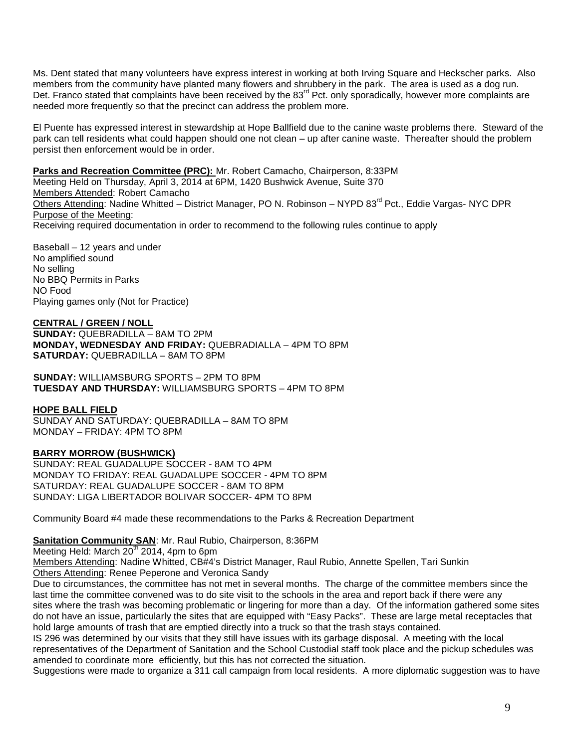Ms. Dent stated that many volunteers have express interest in working at both Irving Square and Heckscher parks. Also members from the community have planted many flowers and shrubbery in the park. The area is used as a dog run. Det. Franco stated that complaints have been received by the 83<sup>rd</sup> Pct. only sporadically, however more complaints are needed more frequently so that the precinct can address the problem more.

El Puente has expressed interest in stewardship at Hope Ballfield due to the canine waste problems there. Steward of the park can tell residents what could happen should one not clean – up after canine waste. Thereafter should the problem persist then enforcement would be in order.

# **Parks and Recreation Committee (PRC):** Mr. Robert Camacho, Chairperson, 8:33PM

Meeting Held on Thursday, April 3, 2014 at 6PM, 1420 Bushwick Avenue, Suite 370 Members Attended: Robert Camacho Others Attending: Nadine Whitted – District Manager, PO N. Robinson – NYPD 83<sup>rd</sup> Pct., Eddie Vargas- NYC DPR Purpose of the Meeting: Receiving required documentation in order to recommend to the following rules continue to apply

Baseball – 12 years and under No amplified sound No selling No BBQ Permits in Parks NO Food Playing games only (Not for Practice)

### **CENTRAL / GREEN / NOLL**

**SUNDAY:** QUEBRADILLA – 8AM TO 2PM **MONDAY, WEDNESDAY AND FRIDAY:** QUEBRADIALLA – 4PM TO 8PM **SATURDAY:** QUEBRADILLA – 8AM TO 8PM

 **SUNDAY:** WILLIAMSBURG SPORTS – 2PM TO 8PM **TUESDAY AND THURSDAY:** WILLIAMSBURG SPORTS – 4PM TO 8PM

# **HOPE BALL FIELD**

SUNDAY AND SATURDAY: QUEBRADILLA – 8AM TO 8PM MONDAY – FRIDAY: 4PM TO 8PM

# **BARRY MORROW (BUSHWICK)**

SUNDAY: REAL GUADALUPE SOCCER - 8AM TO 4PM MONDAY TO FRIDAY: REAL GUADALUPE SOCCER - 4PM TO 8PM SATURDAY: REAL GUADALUPE SOCCER - 8AM TO 8PM SUNDAY: LIGA LIBERTADOR BOLIVAR SOCCER- 4PM TO 8PM

Community Board #4 made these recommendations to the Parks & Recreation Department

# **Sanitation Community SAN**: Mr. Raul Rubio, Chairperson, 8:36PM

Meeting Held: March  $20<sup>th</sup>$  2014, 4pm to 6pm

Members Attending: Nadine Whitted, CB#4's District Manager, Raul Rubio, Annette Spellen, Tari Sunkin Others Attending: Renee Peperone and Veronica Sandy

Due to circumstances, the committee has not met in several months. The charge of the committee members since the last time the committee convened was to do site visit to the schools in the area and report back if there were any sites where the trash was becoming problematic or lingering for more than a day. Of the information gathered some sites do not have an issue, particularly the sites that are equipped with "Easy Packs". These are large metal receptacles that hold large amounts of trash that are emptied directly into a truck so that the trash stays contained.

IS 296 was determined by our visits that they still have issues with its garbage disposal. A meeting with the local representatives of the Department of Sanitation and the School Custodial staff took place and the pickup schedules was amended to coordinate more efficiently, but this has not corrected the situation.

Suggestions were made to organize a 311 call campaign from local residents. A more diplomatic suggestion was to have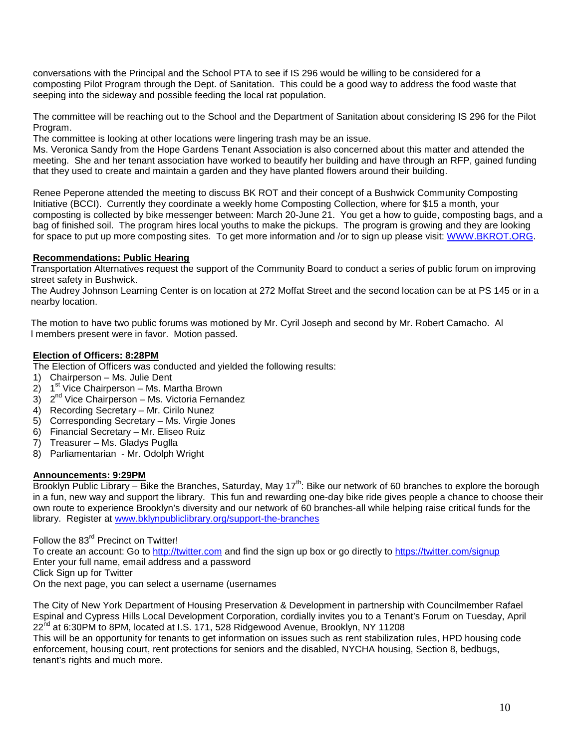conversations with the Principal and the School PTA to see if IS 296 would be willing to be considered for a composting Pilot Program through the Dept. of Sanitation. This could be a good way to address the food waste that seeping into the sideway and possible feeding the local rat population.

The committee will be reaching out to the School and the Department of Sanitation about considering IS 296 for the Pilot Program.

The committee is looking at other locations were lingering trash may be an issue.

Ms. Veronica Sandy from the Hope Gardens Tenant Association is also concerned about this matter and attended the meeting. She and her tenant association have worked to beautify her building and have through an RFP, gained funding that they used to create and maintain a garden and they have planted flowers around their building.

Renee Peperone attended the meeting to discuss BK ROT and their concept of a Bushwick Community Composting Initiative (BCCI). Currently they coordinate a weekly home Composting Collection, where for \$15 a month, your composting is collected by bike messenger between: March 20-June 21. You get a how to guide, composting bags, and a bag of finished soil. The program hires local youths to make the pickups. The program is growing and they are looking for space to put up more composting sites. To get more information and /or to sign up please visit: [WWW.BKROT.ORG.](http://www.bkrot.org/)

# **Recommendations: Public Hearing**

 Transportation Alternatives request the support of the Community Board to conduct a series of public forum on improving street safety in Bushwick.

 The Audrey Johnson Learning Center is on location at 272 Moffat Street and the second location can be at PS 145 or in a nearby location.

 The motion to have two public forums was motioned by Mr. Cyril Joseph and second by Mr. Robert Camacho. Al l members present were in favor. Motion passed.

### **Election of Officers: 8:28PM**

The Election of Officers was conducted and yielded the following results:

- 1) Chairperson Ms. Julie Dent
- 2)  $1<sup>st</sup>$  Vice Chairperson Ms. Martha Brown
- $3)$   $2^{nd}$  Vice Chairperson Ms. Victoria Fernandez
- 4) Recording Secretary Mr. Cirilo Nunez
- 5) Corresponding Secretary Ms. Virgie Jones
- 6) Financial Secretary Mr. Eliseo Ruiz
- 7) Treasurer Ms. Gladys Puglla
- 8) Parliamentarian Mr. Odolph Wright

### **Announcements: 9:29PM**

Brooklyn Public Library – Bike the Branches, Saturday, May 17<sup>th</sup>: Bike our network of 60 branches to explore the borough in a fun, new way and support the library. This fun and rewarding one-day bike ride gives people a chance to choose their own route to experience Brooklyn's diversity and our network of 60 branches-all while helping raise critical funds for the library. Register at [www.bklynpubliclibrary.org/support-the-branches](http://www.bklynpubliclibrary.org/support-the-branches) 

Follow the 83<sup>rd</sup> Precinct on Twitter!

To create an account: Go to [http://twitter.com](http://twitter.com/) and find the sign up box or go directly to<https://twitter.com/signup> Enter your full name, email address and a password Click Sign up for Twitter

On the next page, you can select a username (usernames

The City of New York Department of Housing Preservation & Development in partnership with Councilmember Rafael Espinal and Cypress Hills Local Development Corporation, cordially invites you to a Tenant's Forum on Tuesday, April  $22^{nd}$  at 6:30PM to 8PM, located at I.S. 171, 528 Ridgewood Avenue, Brooklyn, NY 11208

This will be an opportunity for tenants to get information on issues such as rent stabilization rules, HPD housing code enforcement, housing court, rent protections for seniors and the disabled, NYCHA housing, Section 8, bedbugs, tenant's rights and much more.